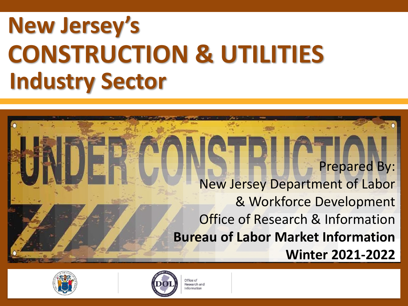# **New Jersey's CONSTRUCTION & UTILITIES Industry Sector**

Prepared By: New Jersey Department of Labor & Workforce Development Office of Research & Information **Bureau of Labor Market Information Winter 2021-2022**





Office of Research and nformation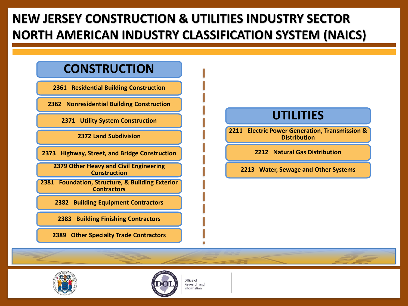## **NEW JERSEY CONSTRUCTION & UTILITIES INDUSTRY SECTOR NORTH AMERICAN INDUSTRY CLASSIFICATION SYSTEM (NAICS)**

#### **CONSTRUCTION**

**2361 Residential Building Construction**

**2362 Nonresidential Building Construction**

**2371 Utility System Construction**

**2372 Land Subdivision** 

**2373 Highway, Street, and Bridge Construction**

**2379 Other Heavy and Civil Engineering Construction**

**2381 Foundation, Structure, & Building Exterior Contractors**

**2382 Building Equipment Contractors**

**2383 Building Finishing Contractors**

**2389 Other Specialty Trade Contractors**

#### **UTILITIES**

**2211 Electric Power Generation, Transmission & Distribution**

**2212 Natural Gas Distribution**

**2213 Water, Sewage and Other Systems**





Office of Research and Information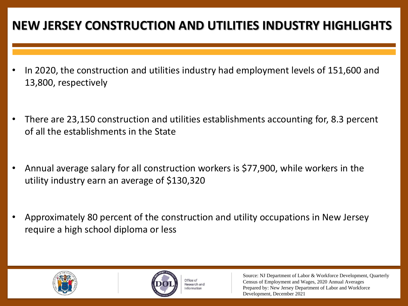### **NEW JERSEY CONSTRUCTION AND UTILITIES INDUSTRY HIGHLIGHTS**

- In 2020, the construction and utilities industry had employment levels of 151,600 and 13,800, respectively
- There are 23,150 construction and utilities establishments accounting for, 8.3 percent of all the establishments in the State
- Annual average salary for all construction workers is \$77,900, while workers in the utility industry earn an average of \$130,320
- Approximately 80 percent of the construction and utility occupations in New Jersey require a high school diploma or less





Office of Research and Information

Source: NJ Department of Labor & Workforce Development, Quarterly Census of Employment and Wages, 2020 Annual Averages Prepared by: New Jersey Department of Labor and Workforce Development, December 2021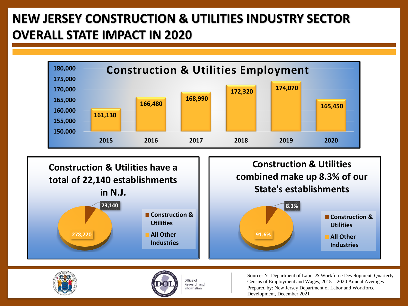## **NEW JERSEY CONSTRUCTION & UTILITIES INDUSTRY SECTOR OVERALL STATE IMPACT IN 2020**



Office of Research and Information



Source: NJ Department of Labor & Workforce Development, Quarterly Census of Employment and Wages, 2015 – 2020 Annual Averages Prepared by: New Jersey Department of Labor and Workforce Development, December 2021

**Utilities All Other Industries**

**91.6%**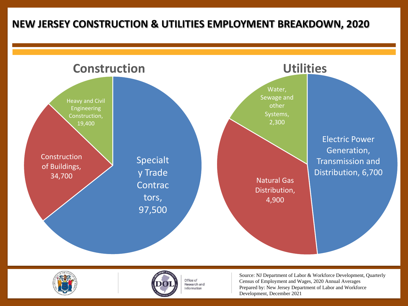#### **NEW JERSEY CONSTRUCTION & UTILITIES EMPLOYMENT BREAKDOWN, 2020**







Office of Research and Information

Source: NJ Department of Labor & Workforce Development, Quarterly Census of Employment and Wages, 2020 Annual Averages Prepared by: New Jersey Department of Labor and Workforce Development, December 2021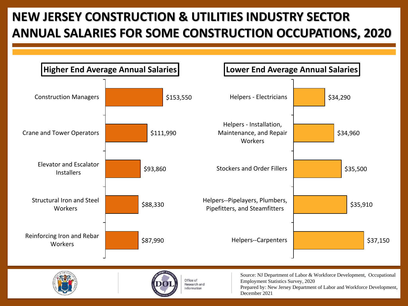# **NEW JERSEY CONSTRUCTION & UTILITIES INDUSTRY SECTOR ANNUAL SALARIES FOR SOME CONSTRUCTION OCCUPATIONS, 2020**

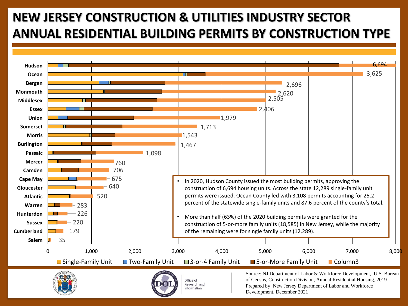# **NEW JERSEY CONSTRUCTION & UTILITIES INDUSTRY SECTOR ANNUAL RESIDENTIAL BUILDING PERMITS BY CONSTRUCTION TYPE**



Prepared by: New Jersey Department of Labor and Workforce Development, December 2021